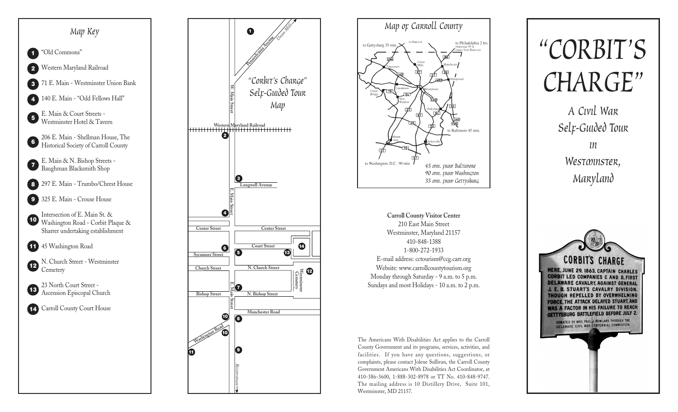





**Carroll County Visitor Center** 210 East Main Street Westminster, Maryland 21157 410-848-1388 1-800-272-1933 E-mail address: cctourism@ccg.carr.org Website: www.carrollcountytourism.org Monday through Saturday - 9 a.m. to 5 p.m. Sundays and most Holidays - 10 a.m. to 2 p.m.

The Americans With Disabilities Act applies to the Carroll County Government and its programs, services, activities, and facilities. If you have any questions, suggestions, or complaints, please contact Jolene Sullivan, the Carroll County Government Americans With Disabilities Act Coordinator, at 410-386-3600, 1-888-302-8978 or TT No. 410-848-9747. The mailing address is 10 Distillery Drive, Suite 101, Westminster, MD 21157.



*A Civil War Self-Guided Tour in Westminster,*

*Maryland*